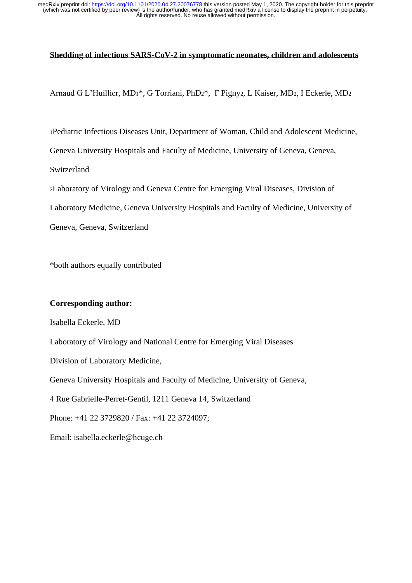#### **Shedding of infectious SARS-CoV-2 in symptomatic neonates, children and adolescents**

Arnaud G L'Huillier, MD1\*, G Torriani, PhD2\*, F Pigny2, L Kaiser, MD2, I Eckerle, MD<sup>2</sup>

<sup>1</sup>Pediatric Infectious Diseases Unit, Department of Woman, Child and Adolescent Medicine, Geneva University Hospitals and Faculty of Medicine, University of Geneva, Geneva, Switzerland <sup>2</sup>Laboratory of Virology and Geneva Centre for Emerging Viral Diseases, Division of Laboratory Medicine, Geneva University Hospitals and Faculty of Medicine, University of

Geneva, Geneva, Switzerland

\*both authors equally contributed

#### **Corresponding author:**

Isabella Eckerle, MD

Laboratory of Virology and National Centre for Emerging Viral Diseases

Division of Laboratory Medicine,

Geneva University Hospitals and Faculty of Medicine, University of Geneva,

4 Rue Gabrielle-Perret-Gentil, 1211 Geneva 14, Switzerland

Phone: +41 22 3729820 / Fax: +41 22 3724097;

Email: isabella.eckerle@hcuge.ch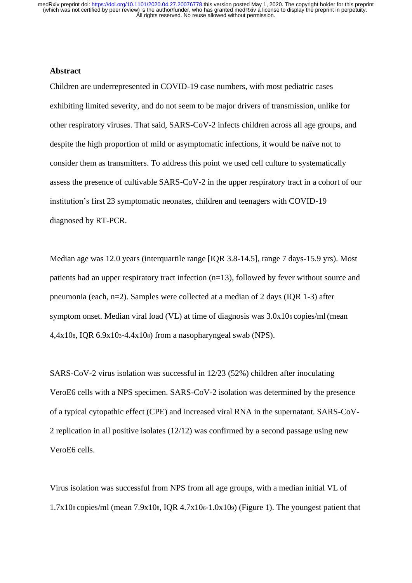#### **Abstract**

Children are underrepresented in COVID-19 case numbers, with most pediatric cases exhibiting limited severity, and do not seem to be major drivers of transmission, unlike for other respiratory viruses. That said, SARS-CoV-2 infects children across all age groups, and despite the high proportion of mild or asymptomatic infections, it would be naïve not to consider them as transmitters. To address this point we used cell culture to systematically assess the presence of cultivable SARS-CoV-2 in the upper respiratory tract in a cohort of our institution's first 23 symptomatic neonates, children and teenagers with COVID-19 diagnosed by RT-PCR.

Median age was 12.0 years (interquartile range [IQR 3.8-14.5], range 7 days-15.9 yrs). Most patients had an upper respiratory tract infection (n=13), followed by fever without source and pneumonia (each, n=2). Samples were collected at a median of 2 days (IQR 1-3) after symptom onset. Median viral load (VL) at time of diagnosis was  $3.0x10<sub>6</sub>$  copies/ml (mean 4,4x108, IQR 6.9x103-4.4x108) from a nasopharyngeal swab (NPS).

SARS-CoV-2 virus isolation was successful in 12/23 (52%) children after inoculating VeroE6 cells with a NPS specimen. SARS-CoV-2 isolation was determined by the presence of a typical cytopathic effect (CPE) and increased viral RNA in the supernatant. SARS-CoV-2 replication in all positive isolates (12/12) was confirmed by a second passage using new VeroE6 cells.

Virus isolation was successful from NPS from all age groups, with a median initial VL of  $1.7x10s$  copies/ml (mean  $7.9x10s$ , IQR  $4.7x10<sub>6</sub>-1.0x10s$ ) (Figure 1). The youngest patient that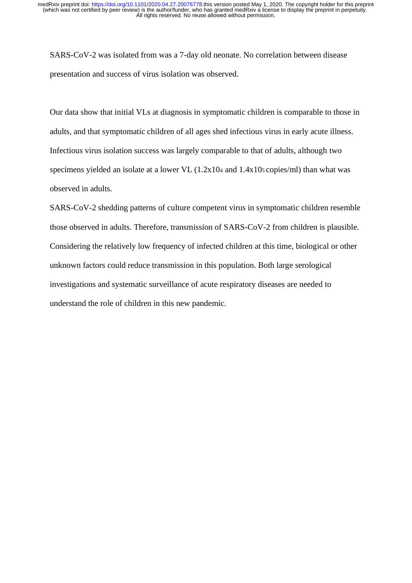SARS-CoV-2 was isolated from was a 7-day old neonate. No correlation between disease presentation and success of virus isolation was observed.

Our data show that initial VLs at diagnosis in symptomatic children is comparable to those in adults, and that symptomatic children of all ages shed infectious virus in early acute illness. Infectious virus isolation success was largely comparable to that of adults, although two specimens yielded an isolate at a lower VL (1.2x10<sup>4</sup> and 1.4x105 copies/ml) than what was observed in adults.

SARS-CoV-2 shedding patterns of culture competent virus in symptomatic children resemble those observed in adults. Therefore, transmission of SARS-CoV-2 from children is plausible. Considering the relatively low frequency of infected children at this time, biological or other unknown factors could reduce transmission in this population. Both large serological investigations and systematic surveillance of acute respiratory diseases are needed to understand the role of children in this new pandemic.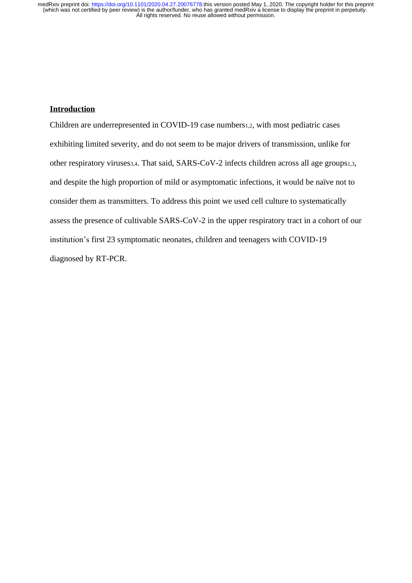# **Introduction**

Children are underrepresented in COVID-19 case numbers1,2, with most pediatric cases exhibiting limited severity, and do not seem to be major drivers of transmission, unlike for other respiratory viruses3,4. That said, SARS-CoV-2 infects children across all age groups1,3, and despite the high proportion of mild or asymptomatic infections, it would be naïve not to consider them as transmitters. To address this point we used cell culture to systematically assess the presence of cultivable SARS-CoV-2 in the upper respiratory tract in a cohort of our institution's first 23 symptomatic neonates, children and teenagers with COVID-19 diagnosed by RT-PCR.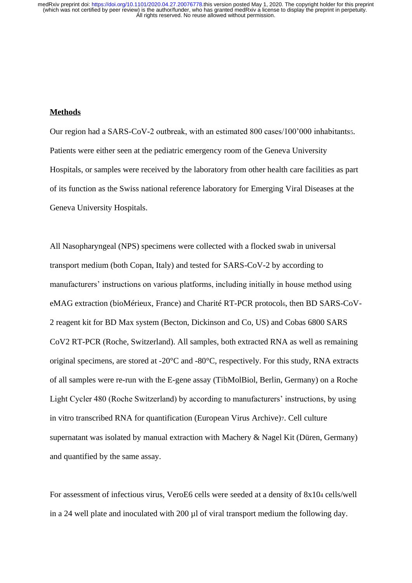## **Methods**

Our region had a SARS-CoV-2 outbreak, with an estimated 800 cases/100'000 inhabitants5. Patients were either seen at the pediatric emergency room of the Geneva University Hospitals, or samples were received by the laboratory from other health care facilities as part of its function as the Swiss national reference laboratory for Emerging Viral Diseases at the Geneva University Hospitals.

All Nasopharyngeal (NPS) specimens were collected with a flocked swab in universal transport medium (both Copan, Italy) and tested for SARS-CoV-2 by according to manufacturers' instructions on various platforms, including initially in house method using eMAG extraction (bioMérieux, France) and Charité RT-PCR protocol6, then BD SARS-CoV-2 reagent kit for BD Max system (Becton, Dickinson and Co, US) and Cobas 6800 SARS CoV2 RT-PCR (Roche, Switzerland). All samples, both extracted RNA as well as remaining original specimens, are stored at -20°C and -80°C, respectively. For this study, RNA extracts of all samples were re-run with the E-gene assay (TibMolBiol, Berlin, Germany) on a Roche Light Cycler 480 (Roche Switzerland) by according to manufacturers' instructions, by using in vitro transcribed RNA for quantification (European Virus Archive)7. Cell culture supernatant was isolated by manual extraction with Machery & Nagel Kit (Düren, Germany) and quantified by the same assay.

For assessment of infectious virus, VeroE6 cells were seeded at a density of 8x10<sup>4</sup> cells/well in a 24 well plate and inoculated with 200 µl of viral transport medium the following day.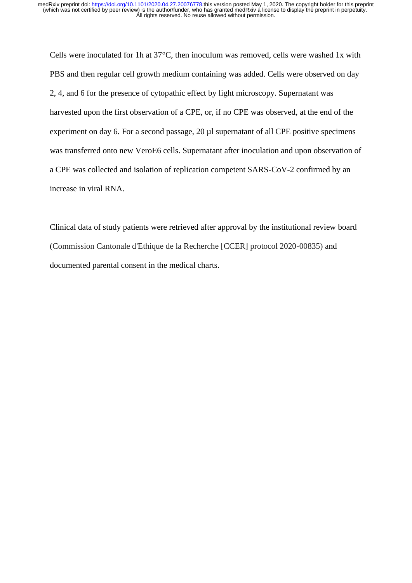Cells were inoculated for 1h at 37°C, then inoculum was removed, cells were washed 1x with PBS and then regular cell growth medium containing was added. Cells were observed on day 2, 4, and 6 for the presence of cytopathic effect by light microscopy. Supernatant was harvested upon the first observation of a CPE, or, if no CPE was observed, at the end of the experiment on day 6. For a second passage, 20  $\mu$ l supernatant of all CPE positive specimens was transferred onto new VeroE6 cells. Supernatant after inoculation and upon observation of a CPE was collected and isolation of replication competent SARS-CoV-2 confirmed by an increase in viral RNA.

Clinical data of study patients were retrieved after approval by the institutional review board (Commission Cantonale d'Ethique de la Recherche [CCER] protocol 2020-00835) and documented parental consent in the medical charts.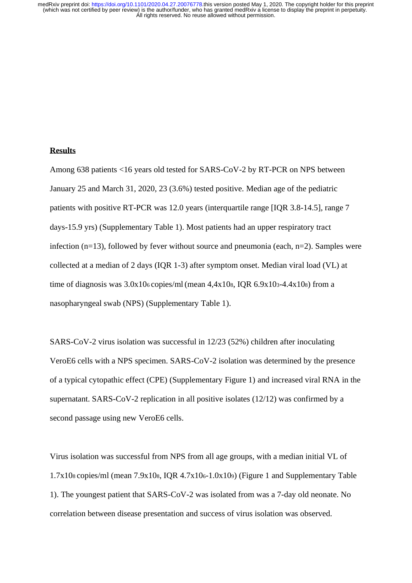## **Results**

Among 638 patients <16 years old tested for SARS-CoV-2 by RT-PCR on NPS between January 25 and March 31, 2020, 23 (3.6%) tested positive. Median age of the pediatric patients with positive RT-PCR was 12.0 years (interquartile range [IQR 3.8-14.5], range 7 days-15.9 yrs) (Supplementary Table 1). Most patients had an upper respiratory tract infection (n=13), followed by fever without source and pneumonia (each, n=2). Samples were collected at a median of 2 days (IQR 1-3) after symptom onset. Median viral load (VL) at time of diagnosis was  $3.0x10_6$  copies/ml (mean  $4.4x10_8$ , IQR  $6.9x10_3$ -4.4x10 $s$ ) from a nasopharyngeal swab (NPS) (Supplementary Table 1).

SARS-CoV-2 virus isolation was successful in 12/23 (52%) children after inoculating VeroE6 cells with a NPS specimen. SARS-CoV-2 isolation was determined by the presence of a typical cytopathic effect (CPE) (Supplementary Figure 1) and increased viral RNA in the supernatant. SARS-CoV-2 replication in all positive isolates (12/12) was confirmed by a second passage using new VeroE6 cells.

Virus isolation was successful from NPS from all age groups, with a median initial VL of 1.7x108 copies/ml (mean 7.9x108, IQR 4.7x106-1.0x109) (Figure 1 and Supplementary Table 1). The youngest patient that SARS-CoV-2 was isolated from was a 7-day old neonate. No correlation between disease presentation and success of virus isolation was observed.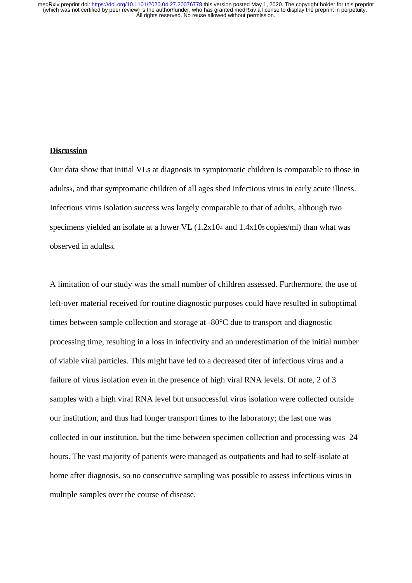### **Discussion**

Our data show that initial VLs at diagnosis in symptomatic children is comparable to those in adults8, and that symptomatic children of all ages shed infectious virus in early acute illness. Infectious virus isolation success was largely comparable to that of adults, although two specimens yielded an isolate at a lower VL (1.2x10<sup>4</sup> and 1.4x105 copies/ml) than what was observed in adults8.

A limitation of our study was the small number of children assessed. Furthermore, the use of left-over material received for routine diagnostic purposes could have resulted in suboptimal times between sample collection and storage at -80°C due to transport and diagnostic processing time, resulting in a loss in infectivity and an underestimation of the initial number of viable viral particles. This might have led to a decreased titer of infectious virus and a failure of virus isolation even in the presence of high viral RNA levels. Of note, 2 of 3 samples with a high viral RNA level but unsuccessful virus isolation were collected outside our institution, and thus had longer transport times to the laboratory; the last one was collected in our institution, but the time between specimen collection and processing was 24 hours. The vast majority of patients were managed as outpatients and had to self-isolate at home after diagnosis, so no consecutive sampling was possible to assess infectious virus in multiple samples over the course of disease.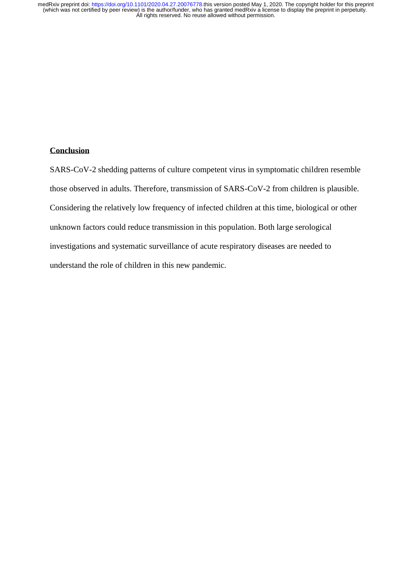## **Conclusion**

SARS-CoV-2 shedding patterns of culture competent virus in symptomatic children resemble those observed in adults. Therefore, transmission of SARS-CoV-2 from children is plausible. Considering the relatively low frequency of infected children at this time, biological or other unknown factors could reduce transmission in this population. Both large serological investigations and systematic surveillance of acute respiratory diseases are needed to understand the role of children in this new pandemic.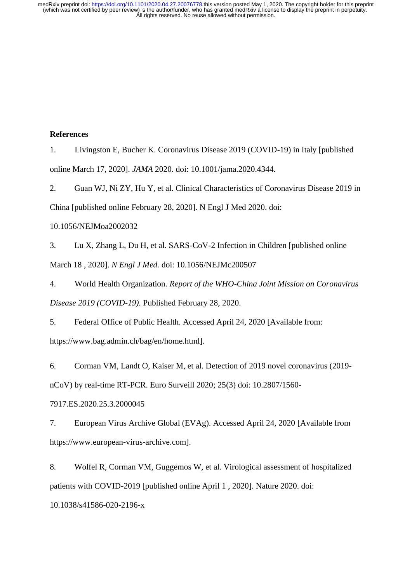## **References**

1. Livingston E, Bucher K. Coronavirus Disease 2019 (COVID-19) in Italy [published online March 17, 2020]. *JAMA* 2020. doi: 10.1001/jama.2020.4344.

2. Guan WJ, Ni ZY, Hu Y, et al. Clinical Characteristics of Coronavirus Disease 2019 in China [published online February 28, 2020]. N Engl J Med 2020. doi:

10.1056/NEJMoa2002032

3. Lu X, Zhang L, Du H, et al. SARS-CoV-2 Infection in Children [published online March 18 , 2020]. *N Engl J Med.* doi: 10.1056/NEJMc200507

4. World Health Organization. *Report of the WHO-China Joint Mission on Coronavirus Disease 2019 (COVID-19).* Published February 28, 2020.

5. Federal Office of Public Health. Accessed April 24, 2020 [Available from: https://www.bag.admin.ch/bag/en/home.html].

6. Corman VM, Landt O, Kaiser M, et al. Detection of 2019 novel coronavirus (2019 nCoV) by real-time RT-PCR. Euro Surveill 2020; 25(3) doi: 10.2807/1560-

7917.ES.2020.25.3.2000045

7. European Virus Archive Global (EVAg). Accessed April 24, 2020 [Available from https://www.european-virus-archive.com].

8. Wolfel R, Corman VM, Guggemos W, et al. Virological assessment of hospitalized patients with COVID-2019 [published online April 1 , 2020]. Nature 2020. doi:

10.1038/s41586-020-2196-x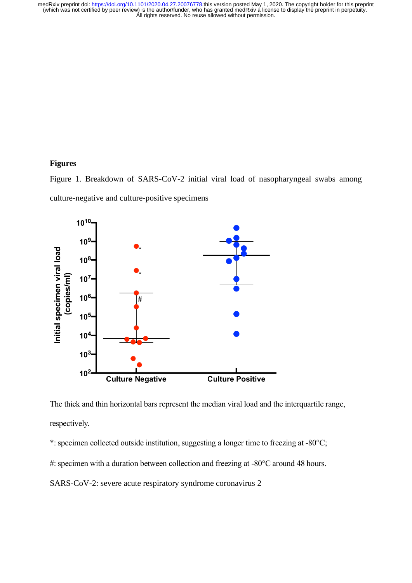## **Figures**

Figure 1. Breakdown of SARS-CoV-2 initial viral load of nasopharyngeal swabs among culture-negative and culture-positive specimens



The thick and thin horizontal bars represent the median viral load and the interquartile range, respectively.

\*: specimen collected outside institution, suggesting a longer time to freezing at -80C;

#: specimen with a duration between collection and freezing at -80°C around 48 hours.

SARS-CoV-2: severe acute respiratory syndrome coronavirus 2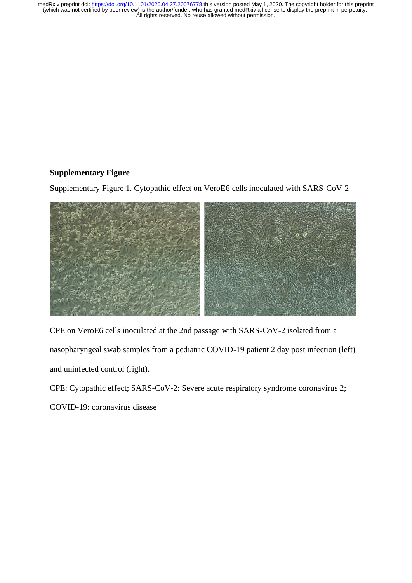# **Supplementary Figure**

Supplementary Figure 1. Cytopathic effect on VeroE6 cells inoculated with SARS-CoV-2



CPE on VeroE6 cells inoculated at the 2nd passage with SARS-CoV-2 isolated from a nasopharyngeal swab samples from a pediatric COVID-19 patient 2 day post infection (left) and uninfected control (right).  $\Gamma$  cytopathic effects: SARS-Covere acute respiratory syndrome coronavirus 2; COVID-19: coronavirus 2; COVID-19: coronavirus 2; COVID-19: coronavirus 2; COVID-19: coronavirus 2; COVID-19: coronavirus 2; COVID-19: coronav

CPE: Cytopathic effect; SARS-CoV-2: Severe acute respiratory syndrome coronavirus 2;

COVID-19: coronavirus disease